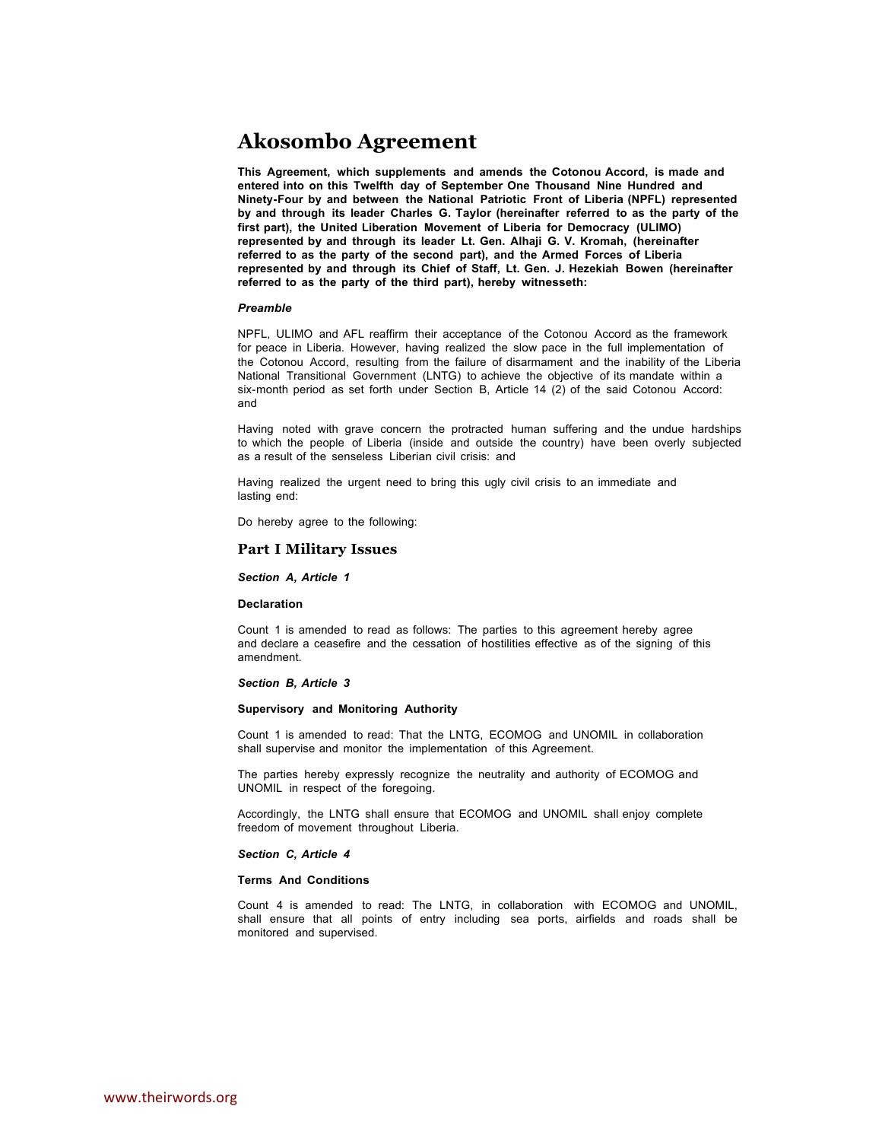# **Akosombo Agreement**

**This Agreement, which supplements and amends the Cotonou Accord, is made and entered into on this Twelfth day of September One Thousand Nine Hundred and Ninety-Four by and between the National Patriotic Front of Liberia (NPFL) represented by and through its leader Charles G. Taylor (hereinafter referred to as the party of the first part), the United Liberation Movement of Liberia for Democracy (ULIMO) represented by and through its leader Lt. Gen. Alhaji G. V. Kromah, (hereinafter referred to as the party of the second part), and the Armed Forces of Liberia represented by and through its Chief of Staff, Lt. Gen. J. Hezekiah Bowen (hereinafter referred to as the party of the third part), hereby witnesseth:**

#### *Preamble*

NPFL, ULIMO and AFL reaffirm their acceptance of the Cotonou Accord as the framework for peace in Liberia. However, having realized the slow pace in the full implementation of the Cotonou Accord, resulting from the failure of disarmament and the inability of the Liberia National Transitional Government (LNTG) to achieve the objective of its mandate within a six-month period as set forth under Section B, Article 14 (2) of the said Cotonou Accord: and

Having noted with grave concern the protracted human suffering and the undue hardships to which the people of Liberia (inside and outside the country) have been overly subjected as a result of the senseless Liberian civil crisis: and

Having realized the urgent need to bring this ugly civil crisis to an immediate and lasting end:

Do hereby agree to the following:

## **Part I Military Issues**

*Section A, Article 1*

#### **Declaration**

Count 1 is amended to read as follows: The parties to this agreement hereby agree and declare a ceasefire and the cessation of hostilities effective as of the signing of this amendment.

#### *Section B, Article 3*

#### **Supervisory and Monitoring Authority**

Count 1 is amended to read: That the LNTG, ECOMOG and UNOMIL in collaboration shall supervise and monitor the implementation of this Agreement.

The parties hereby expressly recognize the neutrality and authority of ECOMOG and UNOMIL in respect of the foregoing.

Accordingly, the LNTG shall ensure that ECOMOG and UNOMIL shall enjoy complete freedom of movement throughout Liberia.

#### *Section C, Article 4*

## **Terms And Conditions**

Count 4 is amended to read: The LNTG, in collaboration with ECOMOG and UNOMIL, shall ensure that all points of entry including sea ports, airfields and roads shall be monitored and supervised.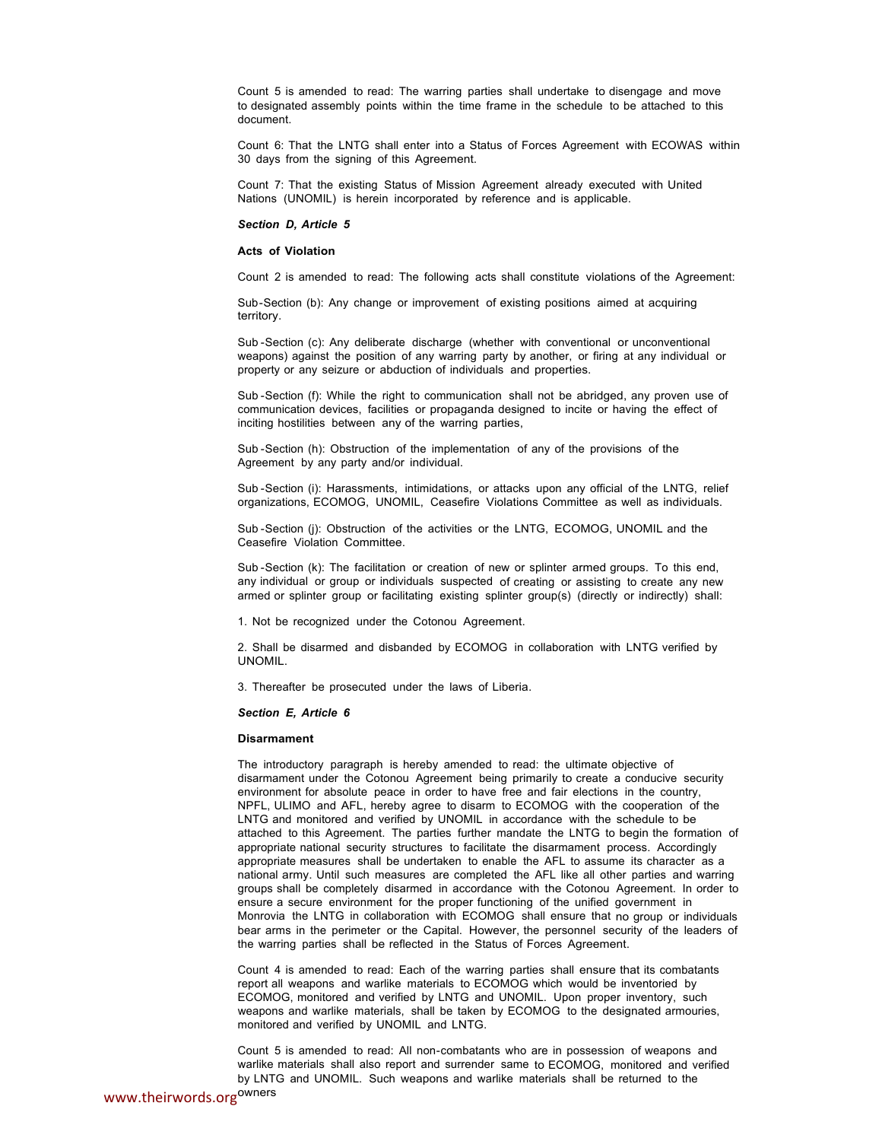Count 5 is amended to read: The warring parties shall undertake to disengage and move to designated assembly points within the time frame in the schedule to be attached to this document.

Count 6: That the LNTG shall enter into a Status of Forces Agreement with ECOWAS within 30 days from the signing of this Agreement.

Count 7: That the existing Status of Mission Agreement already executed with United Nations (UNOMIL) is herein incorporated by reference and is applicable.

#### *Section D, Article 5*

#### **Acts of Violation**

Count 2 is amended to read: The following acts shall constitute violations of the Agreement:

Sub -Section (b): Any change or improvement of existing positions aimed at acquiring territory.

Sub -Section (c): Any deliberate discharge (whether with conventional or unconventional weapons) against the position of any warring party by another, or firing at any individual or property or any seizure or abduction of individuals and properties.

Sub -Section (f): While the right to communication shall not be abridged, any proven use of communication devices, facilities or propaganda designed to incite or having the effect of inciting hostilities between any of the warring parties,

Sub -Section (h): Obstruction of the implementation of any of the provisions of the Agreement by any party and/or individual.

Sub -Section (i): Harassments, intimidations, or attacks upon any official of the LNTG, relief organizations, ECOMOG, UNOMIL, Ceasefire Violations Committee as well as individuals.

Sub -Section (j): Obstruction of the activities or the LNTG, ECOMOG, UNOMIL and the Ceasefire Violation Committee.

Sub -Section (k): The facilitation or creation of new or splinter armed groups. To this end, any individual or group or individuals suspected of creating or assisting to create any new armed or splinter group or facilitating existing splinter group(s) (directly or indirectly) shall:

1. Not be recognized under the Cotonou Agreement.

2. Shall be disarmed and disbanded by ECOMOG in collaboration with LNTG verified by UNOMIL.

3. Thereafter be prosecuted under the laws of Liberia.

## *Section E, Article 6*

## **Disarmament**

The introductory paragraph is hereby amended to read: the ultimate objective of disarmament under the Cotonou Agreement being primarily to create a conducive security environment for absolute peace in order to have free and fair elections in the country, NPFL, ULIMO and AFL, hereby agree to disarm to ECOMOG with the cooperation of the LNTG and monitored and verified by UNOMIL in accordance with the schedule to be attached to this Agreement. The parties further mandate the LNTG to begin the formation of appropriate national security structures to facilitate the disarmament process. Accordingly appropriate measures shall be undertaken to enable the AFL to assume its character as a national army. Until such measures are completed the AFL like all other parties and warring groups shall be completely disarmed in accordance with the Cotonou Agreement. In order to ensure a secure environment for the proper functioning of the unified government in Monrovia the LNTG in collaboration with ECOMOG shall ensure that no group or individuals bear arms in the perimeter or the Capital. However, the personnel security of the leaders of the warring parties shall be reflected in the Status of Forces Agreement.

Count 4 is amended to read: Each of the warring parties shall ensure that its combatants report all weapons and warlike materials to ECOMOG which would be inventoried by ECOMOG, monitored and verified by LNTG and UNOMIL. Upon proper inventory, such weapons and warlike materials, shall be taken by ECOMOG to the designated armouries, monitored and verified by UNOMIL and LNTG.

Count 5 is amended to read: All non-combatants who are in possession of weapons and warlike materials shall also report and surrender same to ECOMOG, monitored and verified by LNTG and UNOMIL. Such weapons and warlike materials shall be returned to the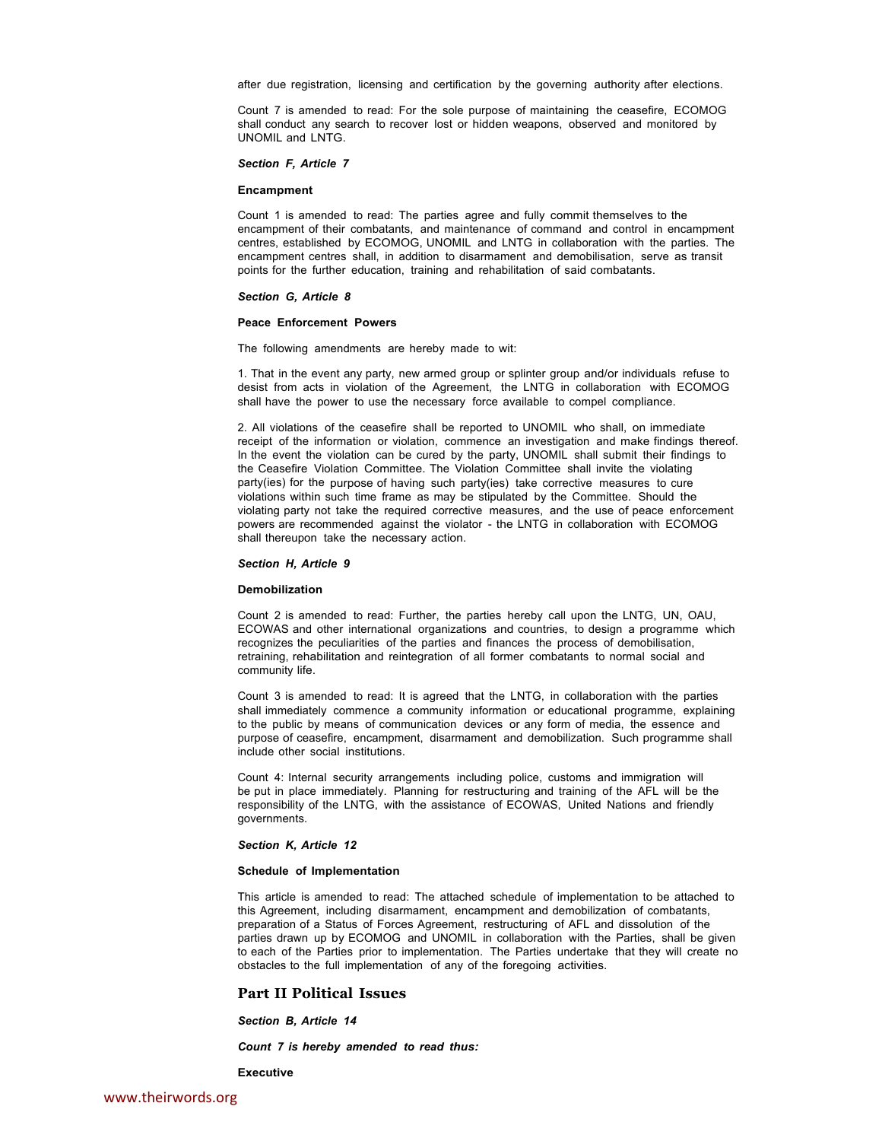after due registration, licensing and certification by the governing authority after elections.

Count 7 is amended to read: For the sole purpose of maintaining the ceasefire, ECOMOG shall conduct any search to recover lost or hidden weapons, observed and monitored by UNOMIL and LNTG.

*Section F, Article 7*

## **Encampment**

Count 1 is amended to read: The parties agree and fully commit themselves to the encampment of their combatants, and maintenance of command and control in encampment centres, established by ECOMOG, UNOMIL and LNTG in collaboration with the parties. The encampment centres shall, in addition to disarmament and demobilisation, serve as transit points for the further education, training and rehabilitation of said combatants.

#### *Section G, Article 8*

#### **Peace Enforcement Powers**

The following amendments are hereby made to wit:

1. That in the event any party, new armed group or splinter group and/or individuals refuse to desist from acts in violation of the Agreement, the LNTG in collaboration with ECOMOG shall have the power to use the necessary force available to compel compliance.

2. All violations of the ceasefire shall be reported to UNOMIL who shall, on immediate receipt of the information or violation, commence an investigation and make findings thereof. In the event the violation can be cured by the party, UNOMIL shall submit their findings to the Ceasefire Violation Committee. The Violation Committee shall invite the violating party(ies) for the purpose of having such party(ies) take corrective measures to cure violations within such time frame as may be stipulated by the Committee. Should the violating party not take the required corrective measures, and the use of peace enforcement powers are recommended against the violator - the LNTG in collaboration with ECOMOG shall thereupon take the necessary action.

## *Section H, Article 9*

#### **Demobilization**

Count 2 is amended to read: Further, the parties hereby call upon the LNTG, UN, OAU, ECOWAS and other international organizations and countries, to design a programme which recognizes the peculiarities of the parties and finances the process of demobilisation, retraining, rehabilitation and reintegration of all former combatants to normal social and community life.

Count 3 is amended to read: It is agreed that the LNTG, in collaboration with the parties shall immediately commence a community information or educational programme, explaining to the public by means of communication devices or any form of media, the essence and purpose of ceasefire, encampment, disarmament and demobilization. Such programme shall include other social institutions.

Count 4: Internal security arrangements including police, customs and immigration will be put in place immediately. Planning for restructuring and training of the AFL will be the responsibility of the LNTG, with the assistance of ECOWAS, United Nations and friendly governments.

#### *Section K, Article 12*

#### **Schedule of Implementation**

This article is amended to read: The attached schedule of implementation to be attached to this Agreement, including disarmament, encampment and demobilization of combatants, preparation of a Status of Forces Agreement, restructuring of AFL and dissolution of the parties drawn up by ECOMOG and UNOMIL in collaboration with the Parties, shall be given to each of the Parties prior to implementation. The Parties undertake that they will create no obstacles to the full implementation of any of the foregoing activities.

## **Part II Political Issues**

*Section B, Article 14*

*Count 7 is hereby amended to read thus:*

**Executive**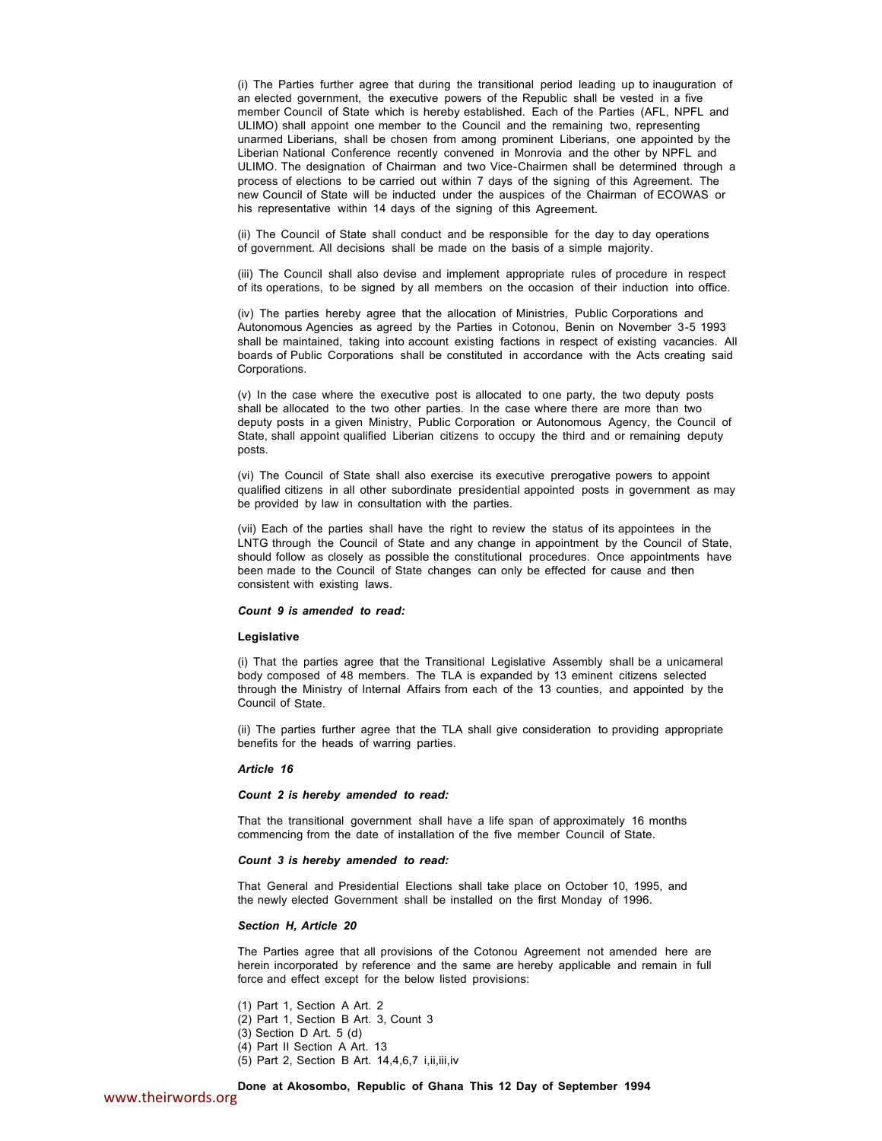(i) The Parties further agree that during the transitional period leading up to inauguration of an elected government, the executive powers of the Republic shall be vested in a five member Council of State which is hereby established. Each of the Parties (AFL, NPFL and ULIMO) shall appoint one member to the Council and the remaining two, representing unarmed Liberians, shall be chosen from among prominent Liberians, one appointed by the Liberian National Conference recently convened in Monrovia and the other by NPFL and ULIMO. The designation of Chairman and two Vice-Chairmen shall be determined through a process of elections to be carried out within 7 days of the signing of this Agreement. The new Council of State will be inducted under the auspices of the Chairman of ECOWAS or his representative within 14 days of the signing of this Agreement.

(ii) The Council of State shall conduct and be responsible for the day to day operations of government. All decisions shall be made on the basis of a simple majority.

(iii) The Council shall also devise and implement appropriate rules of procedure in respect of its operations, to be signed by all members on the occasion of their induction into office.

(iv) The parties hereby agree that the allocation of Ministries, Public Corporations and Autonomous Agencies as agreed by the Parties in Cotonou, Benin on November 3-5 1993 shall be maintained, taking into account existing factions in respect of existing vacancies. All boards of Public Corporations shall be constituted in accordance with the Acts creating said Corporations.

(v) In the case where the executive post is allocated to one party, the two deputy posts shall be allocated to the two other parties. In the case where there are more than two deputy posts in a given Ministry, Public Corporation or Autonomous Agency, the Council of State, shall appoint qualified Liberian citizens to occupy the third and or remaining deputy posts.

(vi) The Council of State shall also exercise its executive prerogative powers to appoint qualified citizens in all other subordinate presidential appointed posts in government as may be provided by law in consultation with the parties.

(vii) Each of the parties shall have the right to review the status of its appointees in the LNTG through the Council of State and any change in appointment by the Council of State, should follow as closely as possible the constitutional procedures. Once appointments have been made to the Council of State changes can only be effected for cause and then consistent with existing laws.

#### *Count 9 is amended to read:*

#### **Legislative**

(i) That the parties agree that the Transitional Legislative Assembly shall be a unicameral body composed of 48 members. The TLA is expanded by 13 eminent citizens selected through the Ministry of Internal Affairs from each of the 13 counties, and appointed by the Council of State.

(ii) The parties further agree that the TLA shall give consideration to providing appropriate benefits for the heads of warring parties.

## *Article 16*

#### *Count 2 is hereby amended to read:*

That the transitional government shall have a life span of approximately 16 months commencing from the date of installation of the five member Council of State.

#### *Count 3 is hereby amended to read:*

That General and Presidential Elections shall take place on October 10, 1995, and the newly elected Government shall be installed on the first Monday of 1996.

#### *Section H, Article 20*

The Parties agree that all provisions of the Cotonou Agreement not amended here are herein incorporated by reference and the same are hereby applicable and remain in full force and effect except for the below listed provisions:

(1) Part 1, Section A Art. 2 (2) Part 1, Section B Art. 3, Count 3 (3) Section D Art. 5 (d) (4) Part II Section A Art. 13 (5) Part 2, Section B Art. 14,4,6,7 i,ii,iii,iv